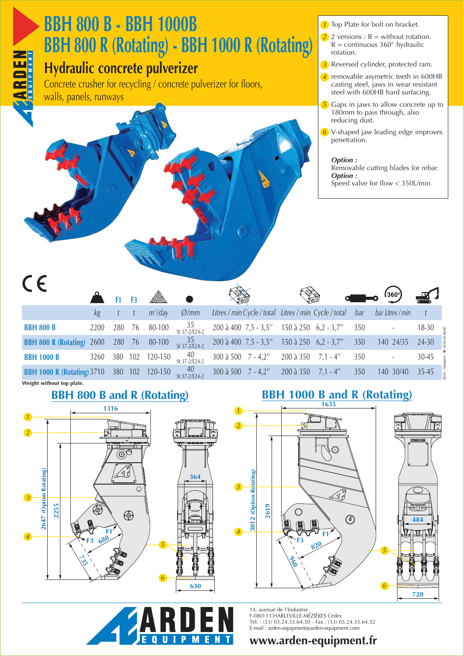

# **BBH 800 B - BBH 1000B** *<sup>1</sup>* **BBH 800 R (Rotating) - BBH 1000 R (Rotating)**

## **Hydraulic concrete pulverizer**

Concrete crusher for recycling / concrete pulverizer for floors, walls, panels, runways

- **1** Top Plate for bolt on bracket.
- 2 2 versions :  $B =$  without rotation.  $R =$  continuous 360° hydraulic rotation.

Reversed cylinder, protected ram. *3*

- removable asymetric teeth in 600HB *4* casting steel, jaws in wear resistant steel with 600HB hard surfacing.
- Gaps in jaws to allow concrete up to 180mm to pass through, also reducing dust. *5*
- V-shaped jaw leading edge improves *6* penetration.

#### *Option :*

Removable cutting blades for rebar*. Option :* 

Speed valve for flow < 350L/min*.*

 $C \in$ 

|                                   |      | F <sub>1</sub> | <b>F3</b> | <b>ARA</b> | Job                   |                                              |                                                           |     | $\Box$ o (360°)  | 些       |
|-----------------------------------|------|----------------|-----------|------------|-----------------------|----------------------------------------------|-----------------------------------------------------------|-----|------------------|---------|
|                                   | kg   |                |           | $m^3$ /day | $\varnothing$ /mm     |                                              | Litres / min Cycle / total Litres / min Cycle / total bar |     | bar Litres / min |         |
| <b>BBH 800 B</b>                  | 2200 | 280            | 76        | 80-100     | $35$<br>St 37-2/E24-2 | 200 à 400 $7,5 - 3,5''$ 150 à 250 6,2 - 3,7" |                                                           | 350 |                  | 18-30   |
| <b>BBH 800 R (Rotating)</b> 2600  |      | 280 76         |           | 80-100     | $35$<br>St 37-2/E24-2 |                                              | 200 à 400 $7.5 - 3.5''$ 150 à 250 6.2 - 3.7"              | 350 | 140 24/35        | $24-30$ |
| <b>BBH 1000 B</b>                 | 3260 | 380            | 102       | 120-150    | 40<br>St 37-2/E24-2   | 300 à 500 $7 - 4.2$ "                        | 200 à 350 7,1 - 4"                                        | 350 |                  | 30-45   |
| <b>BBH 1000 R (Rotating) 3710</b> |      | 380 102        |           | 120-150    | $40$<br>St 37-2/E24-2 | $300 \text{ à } 500$ 7 - 4,2"                | $200 \text{ à } 350$ 7,1 - 4"                             | 350 | 140 30/40        | $35-45$ |
| Weight without top plate.         |      |                |           |            |                       |                                              |                                                           |     |                  |         |

 $\frac{1}{\sqrt{2}}$ 





 $\sqrt{2}$ 



14, avenue de l'Industrie F-08013 CHARLEVILLE-MÉZIÈRES Cedex Tél. : (33) 03.24.33.64.30 - Fax : (33) 03.24.33.64.32 E-mail : arden-equipment@arden-equipment.com

### **www.arden-equipment.fr**